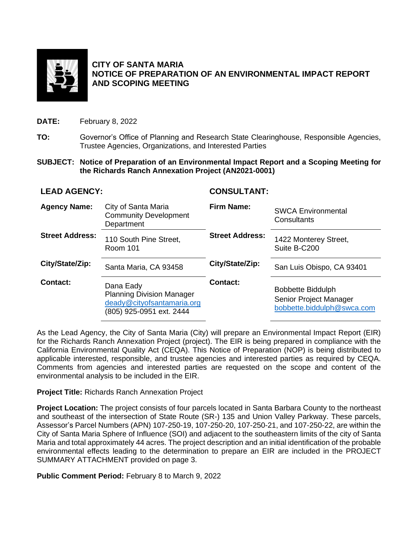

### **CITY OF SANTA MARIA NOTICE OF PREPARATION OF AN ENVIRONMENTAL IMPACT REPORT AND SCOPING MEETING**

**DATE:** February 8, 2022

- **TO:** Governor's Office of Planning and Research State Clearinghouse, Responsible Agencies, Trustee Agencies, Organizations, and Interested Parties
- **SUBJECT: Notice of Preparation of an Environmental Impact Report and a Scoping Meeting for the Richards Ranch Annexation Project (AN2021-0001)**

## **LEAD AGENCY: CONSULTANT:**

| <b>Agency Name:</b>    | City of Santa Maria<br><b>Community Development</b><br>Department                                       | <b>Firm Name:</b>      | <b>SWCA Environmental</b><br>Consultants                                         |
|------------------------|---------------------------------------------------------------------------------------------------------|------------------------|----------------------------------------------------------------------------------|
| <b>Street Address:</b> | 110 South Pine Street,<br><b>Room 101</b>                                                               | <b>Street Address:</b> | 1422 Monterey Street,<br>Suite B-C200                                            |
| City/State/Zip:        | Santa Maria, CA 93458                                                                                   | City/State/Zip:        | San Luis Obispo, CA 93401                                                        |
| Contact:               | Dana Eady<br><b>Planning Division Manager</b><br>deady@cityofsantamaria.org<br>(805) 925-0951 ext. 2444 | Contact:               | <b>Bobbette Biddulph</b><br>Senior Project Manager<br>bobbette.biddulph@swca.com |

As the Lead Agency, the City of Santa Maria (City) will prepare an Environmental Impact Report (EIR) for the Richards Ranch Annexation Project (project). The EIR is being prepared in compliance with the California Environmental Quality Act (CEQA). This Notice of Preparation (NOP) is being distributed to applicable interested, responsible, and trustee agencies and interested parties as required by CEQA. Comments from agencies and interested parties are requested on the scope and content of the environmental analysis to be included in the EIR.

**Project Title:** Richards Ranch Annexation Project

**Project Location:** The project consists of four parcels located in Santa Barbara County to the northeast and southeast of the intersection of State Route (SR-) 135 and Union Valley Parkway. These parcels, Assessor's Parcel Numbers (APN) 107-250-19, 107-250-20, 107-250-21, and 107-250-22, are within the City of Santa Maria Sphere of Influence (SOI) and adjacent to the southeastern limits of the city of Santa Maria and total approximately 44 acres. The project description and an initial identification of the probable environmental effects leading to the determination to prepare an EIR are included in the PROJECT SUMMARY ATTACHMENT provided on page 3.

**Public Comment Period:** February 8 to March 9, 2022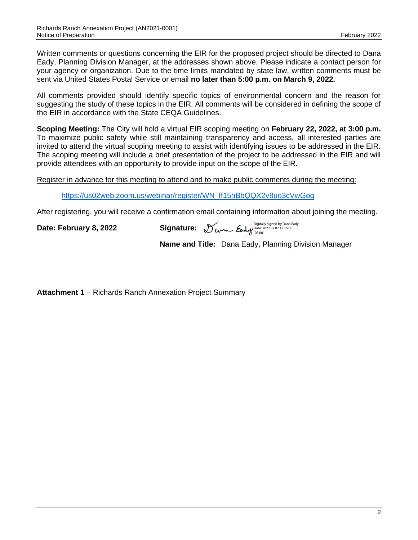Written comments or questions concerning the EIR for the proposed project should be directed to Dana Eady, Planning Division Manager, at the addresses shown above. Please indicate a contact person for your agency or organization. Due to the time limits mandated by state law, written comments must be sent via United States Postal Service or email **no later than 5:00 p.m. on March 9, 2022.**

All comments provided should identify specific topics of environmental concern and the reason for suggesting the study of these topics in the EIR. All comments will be considered in defining the scope of the EIR in accordance with the State CEQA Guidelines.

**Scoping Meeting:** The City will hold a virtual EIR scoping meeting on **February 22, 2022, at 3:00 p.m.** To maximize public safety while still maintaining transparency and access, all interested parties are invited to attend the virtual scoping meeting to assist with identifying issues to be addressed in the EIR. The scoping meeting will include a brief presentation of the project to be addressed in the EIR and will provide attendees with an opportunity to provide input on the scope of the EIR.

Register in advance for this meeting to attend and to make public comments during the meeting:

[https://us02web.zoom.us/webinar/register/WN\\_ff15hBbQQX2v8uo3cVwGog](https://us02web.zoom.us/webinar/register/WN_ff15hBbQQX2v8uo3cVwGog)

After registering, you will receive a confirmation email containing information about joining the meeting.

**Date: February 8, 2022** 

Digitally signed by Dana Eady Date: 2022.02.07 17:15:08 -08'00'

**Name and Title:** Dana Eady, Planning Division Manager

**Attachment 1** – Richards Ranch Annexation Project Summary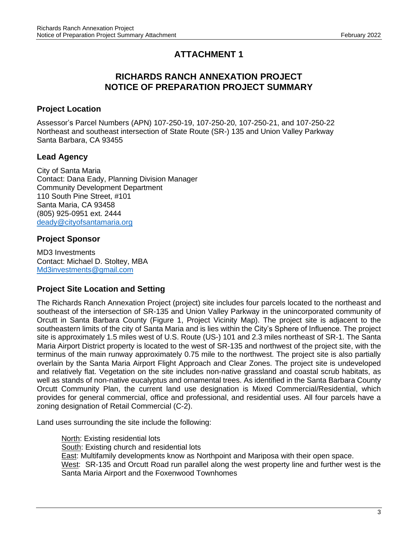# **ATTACHMENT 1**

# **RICHARDS RANCH ANNEXATION PROJECT NOTICE OF PREPARATION PROJECT SUMMARY**

## **Project Location**

Assessor's Parcel Numbers (APN) 107-250-19, 107-250-20, 107-250-21, and 107-250-22 Northeast and southeast intersection of State Route (SR-) 135 and Union Valley Parkway Santa Barbara, CA 93455

# **Lead Agency**

City of Santa Maria Contact: Dana Eady, Planning Division Manager Community Development Department 110 South Pine Street, #101 Santa Maria, CA 93458 (805) 925-0951 ext. 2444 [deady@cityofsantamaria.org](mailto:deady@cityofsantamaria.org)

# **Project Sponsor**

MD3 Investments Contact: Michael D. Stoltey, MBA [Md3investments@gmail.com](mailto:Md3investments@gmail.com)

## **Project Site Location and Setting**

The Richards Ranch Annexation Project (project) site includes four parcels located to the northeast and southeast of the intersection of SR-135 and Union Valley Parkway in the unincorporated community of Orcutt in Santa Barbara County (Figure 1, Project Vicinity Map). The project site is adjacent to the southeastern limits of the city of Santa Maria and is lies within the City's Sphere of Influence. The project site is approximately 1.5 miles west of U.S. Route (US-) 101 and 2.3 miles northeast of SR-1. The Santa Maria Airport District property is located to the west of SR-135 and northwest of the project site, with the terminus of the main runway approximately 0.75 mile to the northwest. The project site is also partially overlain by the Santa Maria Airport Flight Approach and Clear Zones. The project site is undeveloped and relatively flat. Vegetation on the site includes non-native grassland and coastal scrub habitats, as well as stands of non-native eucalyptus and ornamental trees. As identified in the Santa Barbara County Orcutt Community Plan, the current land use designation is Mixed Commercial/Residential, which provides for general commercial, office and professional, and residential uses. All four parcels have a zoning designation of Retail Commercial (C-2).

Land uses surrounding the site include the following:

North: Existing residential lots South: Existing church and residential lots East: Multifamily developments know as Northpoint and Mariposa with their open space. West: SR-135 and Orcutt Road run parallel along the west property line and further west is the Santa Maria Airport and the Foxenwood Townhomes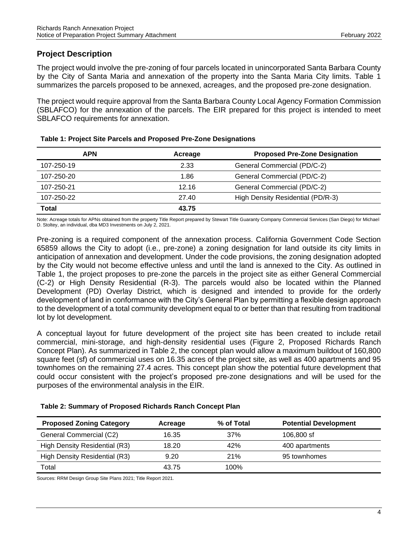## **Project Description**

The project would involve the pre-zoning of four parcels located in unincorporated Santa Barbara County by the City of Santa Maria and annexation of the property into the Santa Maria City limits. Table 1 summarizes the parcels proposed to be annexed, acreages, and the proposed pre-zone designation.

The project would require approval from the Santa Barbara County Local Agency Formation Commission (SBLAFCO) for the annexation of the parcels. The EIR prepared for this project is intended to meet SBLAFCO requirements for annexation.

| <b>APN</b> | Acreage | <b>Proposed Pre-Zone Designation</b> |
|------------|---------|--------------------------------------|
| 107-250-19 | 2.33    | General Commercial (PD/C-2)          |
| 107-250-20 | 1.86    | General Commercial (PD/C-2)          |
| 107-250-21 | 12.16   | General Commercial (PD/C-2)          |
| 107-250-22 | 27.40   | High Density Residential (PD/R-3)    |
| Total      | 43.75   |                                      |

#### **Table 1: Project Site Parcels and Proposed Pre-Zone Designations**

Note: Acreage totals for APNs obtained from the property Title Report prepared by Stewart Title Guaranty Company Commercial Services (San Diego) for Michael D. Stoltey, an individual, dba MD3 Investments on July 2, 2021.

Pre-zoning is a required component of the annexation process. California Government Code Section 65859 allows the City to adopt (i.e., pre-zone) a zoning designation for land outside its city limits in anticipation of annexation and development. Under the code provisions, the zoning designation adopted by the City would not become effective unless and until the land is annexed to the City. As outlined in Table 1, the project proposes to pre-zone the parcels in the project site as either General Commercial (C-2) or High Density Residential (R-3). The parcels would also be located within the Planned Development (PD) Overlay District, which is designed and intended to provide for the orderly development of land in conformance with the City's General Plan by permitting a flexible design approach to the development of a total community development equal to or better than that resulting from traditional lot by lot development.

A conceptual layout for future development of the project site has been created to include retail commercial, mini-storage, and high-density residential uses (Figure 2, Proposed Richards Ranch Concept Plan). As summarized in Table 2, the concept plan would allow a maximum buildout of 160,800 square feet (sf) of commercial uses on 16.35 acres of the project site, as well as 400 apartments and 95 townhomes on the remaining 27.4 acres. This concept plan show the potential future development that could occur consistent with the project's proposed pre-zone designations and will be used for the purposes of the environmental analysis in the EIR.

| <b>Proposed Zoning Category</b> | Acreage | % of Total | <b>Potential Development</b> |
|---------------------------------|---------|------------|------------------------------|
| General Commercial (C2)         | 16.35   | 37%        | 106,800 sf                   |
| High Density Residential (R3)   | 18.20   | 42%        | 400 apartments               |
| High Density Residential (R3)   | 9.20    | 21%        | 95 townhomes                 |
| Total                           | 43.75   | $100\%$    |                              |

Sources: RRM Design Group Site Plans 2021; Title Report 2021.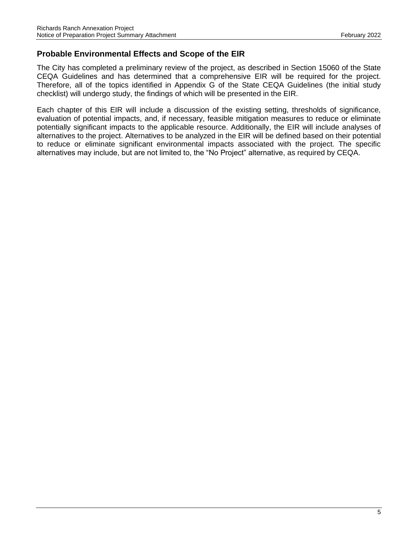## **Probable Environmental Effects and Scope of the EIR**

The City has completed a preliminary review of the project, as described in Section 15060 of the State CEQA Guidelines and has determined that a comprehensive EIR will be required for the project. Therefore, all of the topics identified in Appendix G of the State CEQA Guidelines (the initial study checklist) will undergo study, the findings of which will be presented in the EIR.

Each chapter of this EIR will include a discussion of the existing setting, thresholds of significance, evaluation of potential impacts, and, if necessary, feasible mitigation measures to reduce or eliminate potentially significant impacts to the applicable resource. Additionally, the EIR will include analyses of alternatives to the project. Alternatives to be analyzed in the EIR will be defined based on their potential to reduce or eliminate significant environmental impacts associated with the project. The specific alternatives may include, but are not limited to, the "No Project" alternative, as required by CEQA.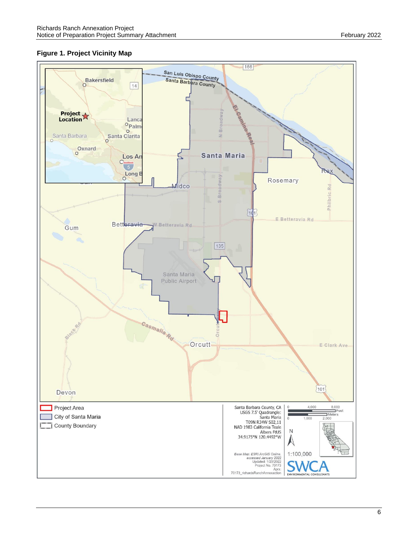## **Figure 1. Project Vicinity Map**